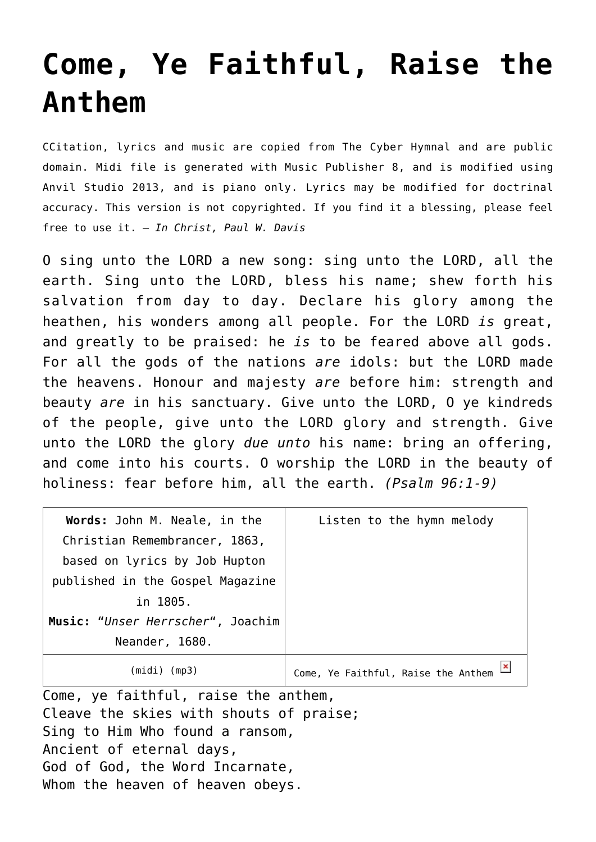## **[Come, Ye Faithful, Raise the](http://reproachofmen.org/hymns-and-music/come-ye-faithful-raise-the-anthem/) [Anthem](http://reproachofmen.org/hymns-and-music/come-ye-faithful-raise-the-anthem/)**

CCitation, lyrics and music are copied from [The Cyber Hymnal](http://www.hymntime.com/tch/) and are public domain. Midi file is generated with [Music Publisher 8](http://www.braeburn.co.uk/mp.htm), and is modified using [Anvil Studio 2013](http://www.anvilstudio.com/), and is piano only. Lyrics may be modified for doctrinal accuracy. This version is not copyrighted. If you find it a blessing, please feel free to use it. — *In Christ, Paul W. Davis*

O sing unto the LORD a new song: sing unto the LORD, all the earth. Sing unto the LORD, bless his name; shew forth his salvation from day to day. Declare his glory among the heathen, his wonders among all people. For the LORD *is* great, and greatly to be praised: he *is* to be feared above all gods. For all the gods of the nations *are* idols: but the LORD made the heavens. Honour and majesty *are* before him: strength and beauty *are* in his sanctuary. Give unto the LORD, O ye kindreds of the people, give unto the LORD glory and strength. Give unto the LORD the glory *due unto* his name: bring an offering, and come into his courts. O worship the LORD in the beauty of holiness: fear before him, all the earth. *(Psalm 96:1-9)*

| Words: John M. Neale, in the      | Listen to the hymn melody           |
|-----------------------------------|-------------------------------------|
| Christian Remembrancer, 1863,     |                                     |
| based on lyrics by Job Hupton     |                                     |
| published in the Gospel Magazine  |                                     |
| in 1805.                          |                                     |
| Music: "Unser Herrscher", Joachim |                                     |
| Neander, 1680.                    |                                     |
| (midi) (mp3)                      | Come, Ye Faithful, Raise the Anthem |

Come, ye faithful, raise the anthem, Cleave the skies with shouts of praise; Sing to Him Who found a ransom, Ancient of eternal days, God of God, the Word Incarnate, Whom the heaven of heaven obeys.